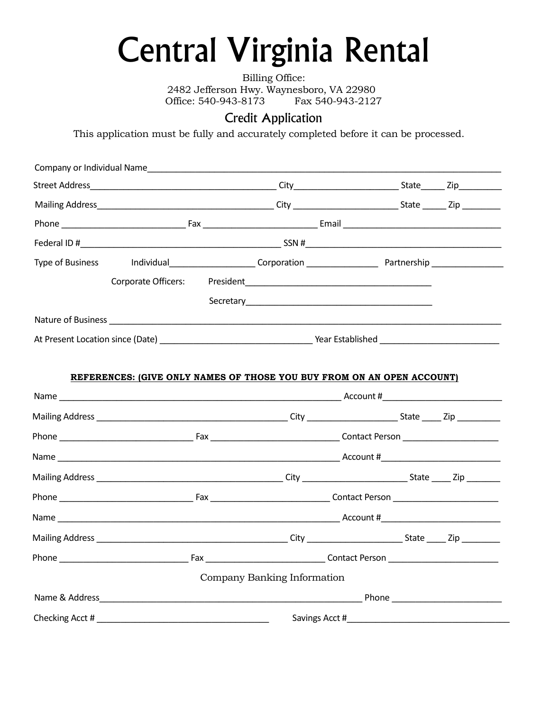## Central Virginia Rental

Billing Office: 2482 Jefferson Hwy. Waynesboro, VA 22980 Office: 540-943-8173 Fax 540-943-2127

## Credit Application

This application must be fully and accurately completed before it can be processed.

| Type of Business and Individual and Corporation <b>Communist Communist Communist Communist Communist Communist Communist Communist Communist Communist Communist Communist Communist Communist Communist Communist Communist Com</b> |  |                             |                                                                                                                                                                                                                                    |  |
|--------------------------------------------------------------------------------------------------------------------------------------------------------------------------------------------------------------------------------------|--|-----------------------------|------------------------------------------------------------------------------------------------------------------------------------------------------------------------------------------------------------------------------------|--|
| Corporate Officers:                                                                                                                                                                                                                  |  |                             | <b>President Executive Contract Contract Contract Contract Contract Contract Contract Contract Contract Contract Contract Contract Contract Contract Contract Contract Contract Contract Contract Contract Contract Contract C</b> |  |
|                                                                                                                                                                                                                                      |  |                             |                                                                                                                                                                                                                                    |  |
|                                                                                                                                                                                                                                      |  |                             |                                                                                                                                                                                                                                    |  |
|                                                                                                                                                                                                                                      |  |                             |                                                                                                                                                                                                                                    |  |
|                                                                                                                                                                                                                                      |  |                             |                                                                                                                                                                                                                                    |  |
| REFERENCES: (GIVE ONLY NAMES OF THOSE YOU BUY FROM ON AN OPEN ACCOUNT)                                                                                                                                                               |  |                             |                                                                                                                                                                                                                                    |  |
|                                                                                                                                                                                                                                      |  |                             |                                                                                                                                                                                                                                    |  |
|                                                                                                                                                                                                                                      |  |                             |                                                                                                                                                                                                                                    |  |
|                                                                                                                                                                                                                                      |  |                             |                                                                                                                                                                                                                                    |  |
|                                                                                                                                                                                                                                      |  |                             |                                                                                                                                                                                                                                    |  |
|                                                                                                                                                                                                                                      |  |                             |                                                                                                                                                                                                                                    |  |
|                                                                                                                                                                                                                                      |  |                             |                                                                                                                                                                                                                                    |  |
|                                                                                                                                                                                                                                      |  |                             |                                                                                                                                                                                                                                    |  |
|                                                                                                                                                                                                                                      |  |                             |                                                                                                                                                                                                                                    |  |
|                                                                                                                                                                                                                                      |  |                             |                                                                                                                                                                                                                                    |  |
|                                                                                                                                                                                                                                      |  | Company Banking Information |                                                                                                                                                                                                                                    |  |
|                                                                                                                                                                                                                                      |  |                             |                                                                                                                                                                                                                                    |  |
|                                                                                                                                                                                                                                      |  |                             |                                                                                                                                                                                                                                    |  |